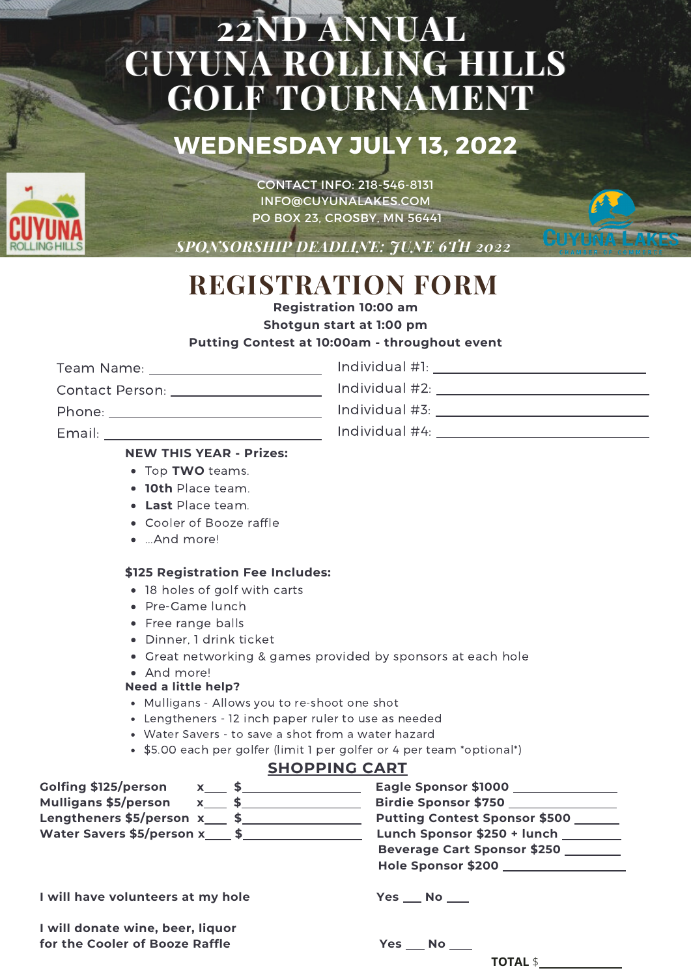# **22ND ANNUAL CUYUNA ROLLING HILLS GOLF TOURNAMENT**

### **WEDNESDAY JULY 13, 2022**



CONTACT INFO: 218-546-8131 INFO@CUYUNALAKES.COM PO BOX 23, CROSBY, MN 56441

*SPONSORSHIP DEADLINE: JUNE 6TH 2022*

# **REGISTRATION FORM**

**Registration 10:00 am**

**Shotgun start at 1:00 pm**

### **Putting Contest at 10:00am - throughout event**

Team Name: Individual #1:

Contact Person:

Phone:

Email: \_\_\_\_\_\_

### Individual #2: Individual #3:

**CUYUNA LAKES** 

Individual #4:

### **NEW THIS YEAR - Prizes:**

- Top **TWO** teams.
- **10th** Place team.
- **Last** Place team.
- Cooler of Booze raffle
- ...And more!

### **\$125 Registration Fee Includes:**

- 18 holes of golf with carts
- Pre-Game lunch
- Free range balls
- Dinner, 1 drink ticket
- Great networking & games provided by sponsors at each hole
- And more!

### **Need a little help?**

- Mulligans Allows you to re-shoot one shot
- Lengtheners 12 inch paper ruler to use as needed
- Water Savers to save a shot from a water hazard
- \$5.00 each per golfer (limit 1 per golfer or 4 per team \*optional\*)

### **SHOPPING CART**

| Golfing \$125/person $x_1$ \$<br>Mulligans \$5/person x___ \$_________ | Eagle Sponsor \$1000 ________________<br>Birdie Sponsor \$750                                                             |
|------------------------------------------------------------------------|---------------------------------------------------------------------------------------------------------------------------|
| Lengtheners $$5/person x$ \$<br>Water Savers \$5/person x____ \$_____  | Putting Contest Sponsor \$500<br>Lunch Sponsor \$250 + lunch _______<br>Beverage Cart Sponsor \$250<br>Hole Sponsor \$200 |
| I will have volunteers at my hole                                      | Yes No                                                                                                                    |
| I will donate wine, beer, liquor<br>for the Cooler of Booze Raffle     | $Yes$ No $\_\_$                                                                                                           |
|                                                                        | TOTAL \$                                                                                                                  |